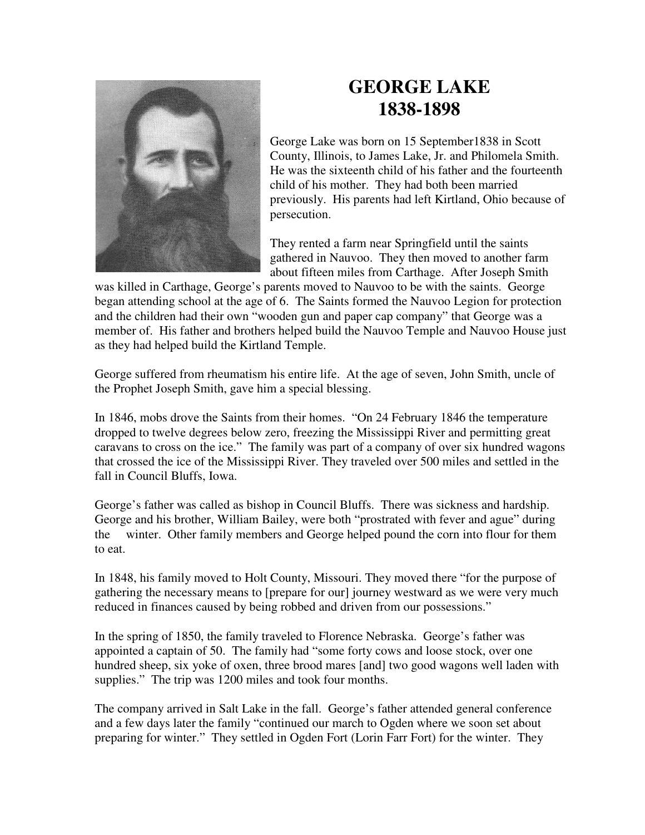

## **GEORGE LAKE 1838-1898**

George Lake was born on 15 September1838 in Scott County, Illinois, to James Lake, Jr. and Philomela Smith. He was the sixteenth child of his father and the fourteenth child of his mother. They had both been married previously. His parents had left Kirtland, Ohio because of persecution.

They rented a farm near Springfield until the saints gathered in Nauvoo. They then moved to another farm about fifteen miles from Carthage. After Joseph Smith

was killed in Carthage, George's parents moved to Nauvoo to be with the saints. George began attending school at the age of 6. The Saints formed the Nauvoo Legion for protection and the children had their own "wooden gun and paper cap company" that George was a member of. His father and brothers helped build the Nauvoo Temple and Nauvoo House just as they had helped build the Kirtland Temple.

George suffered from rheumatism his entire life. At the age of seven, John Smith, uncle of the Prophet Joseph Smith, gave him a special blessing.

In 1846, mobs drove the Saints from their homes. "On 24 February 1846 the temperature dropped to twelve degrees below zero, freezing the Mississippi River and permitting great caravans to cross on the ice." The family was part of a company of over six hundred wagons that crossed the ice of the Mississippi River. They traveled over 500 miles and settled in the fall in Council Bluffs, Iowa.

George's father was called as bishop in Council Bluffs. There was sickness and hardship. George and his brother, William Bailey, were both "prostrated with fever and ague" during the winter. Other family members and George helped pound the corn into flour for them to eat.

In 1848, his family moved to Holt County, Missouri. They moved there "for the purpose of gathering the necessary means to [prepare for our] journey westward as we were very much reduced in finances caused by being robbed and driven from our possessions."

In the spring of 1850, the family traveled to Florence Nebraska. George's father was appointed a captain of 50. The family had "some forty cows and loose stock, over one hundred sheep, six yoke of oxen, three brood mares [and] two good wagons well laden with supplies." The trip was 1200 miles and took four months.

The company arrived in Salt Lake in the fall. George's father attended general conference and a few days later the family "continued our march to Ogden where we soon set about preparing for winter." They settled in Ogden Fort (Lorin Farr Fort) for the winter. They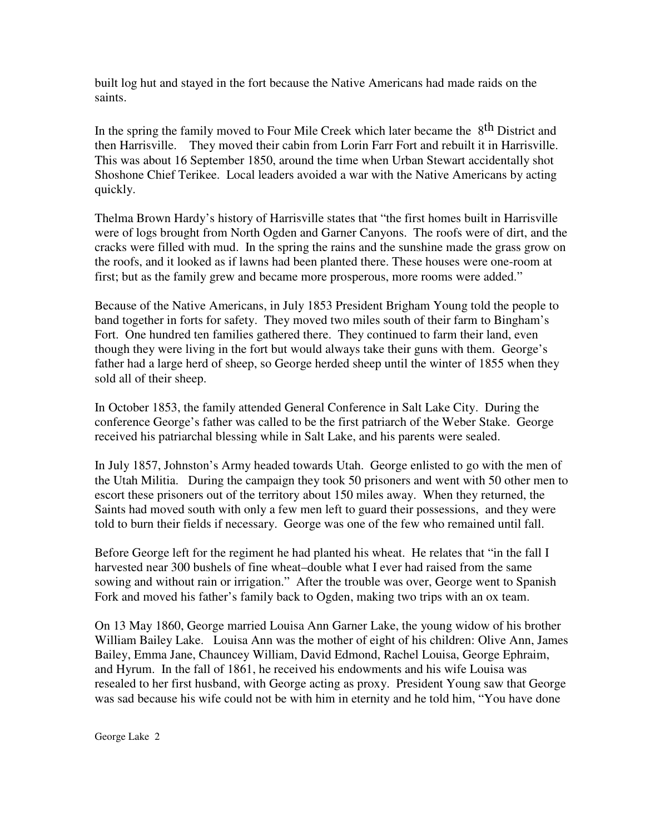built log hut and stayed in the fort because the Native Americans had made raids on the saints.

In the spring the family moved to Four Mile Creek which later became the 8<sup>th</sup> District and then Harrisville. They moved their cabin from Lorin Farr Fort and rebuilt it in Harrisville. This was about 16 September 1850, around the time when Urban Stewart accidentally shot Shoshone Chief Terikee. Local leaders avoided a war with the Native Americans by acting quickly.

Thelma Brown Hardy's history of Harrisville states that "the first homes built in Harrisville were of logs brought from North Ogden and Garner Canyons. The roofs were of dirt, and the cracks were filled with mud. In the spring the rains and the sunshine made the grass grow on the roofs, and it looked as if lawns had been planted there. These houses were one-room at first; but as the family grew and became more prosperous, more rooms were added."

Because of the Native Americans, in July 1853 President Brigham Young told the people to band together in forts for safety. They moved two miles south of their farm to Bingham's Fort. One hundred ten families gathered there. They continued to farm their land, even though they were living in the fort but would always take their guns with them. George's father had a large herd of sheep, so George herded sheep until the winter of 1855 when they sold all of their sheep.

In October 1853, the family attended General Conference in Salt Lake City. During the conference George's father was called to be the first patriarch of the Weber Stake. George received his patriarchal blessing while in Salt Lake, and his parents were sealed.

In July 1857, Johnston's Army headed towards Utah. George enlisted to go with the men of the Utah Militia. During the campaign they took 50 prisoners and went with 50 other men to escort these prisoners out of the territory about 150 miles away. When they returned, the Saints had moved south with only a few men left to guard their possessions, and they were told to burn their fields if necessary. George was one of the few who remained until fall.

Before George left for the regiment he had planted his wheat. He relates that "in the fall I harvested near 300 bushels of fine wheat–double what I ever had raised from the same sowing and without rain or irrigation." After the trouble was over, George went to Spanish Fork and moved his father's family back to Ogden, making two trips with an ox team.

On 13 May 1860, George married Louisa Ann Garner Lake, the young widow of his brother William Bailey Lake. Louisa Ann was the mother of eight of his children: Olive Ann, James Bailey, Emma Jane, Chauncey William, David Edmond, Rachel Louisa, George Ephraim, and Hyrum. In the fall of 1861, he received his endowments and his wife Louisa was resealed to her first husband, with George acting as proxy. President Young saw that George was sad because his wife could not be with him in eternity and he told him, "You have done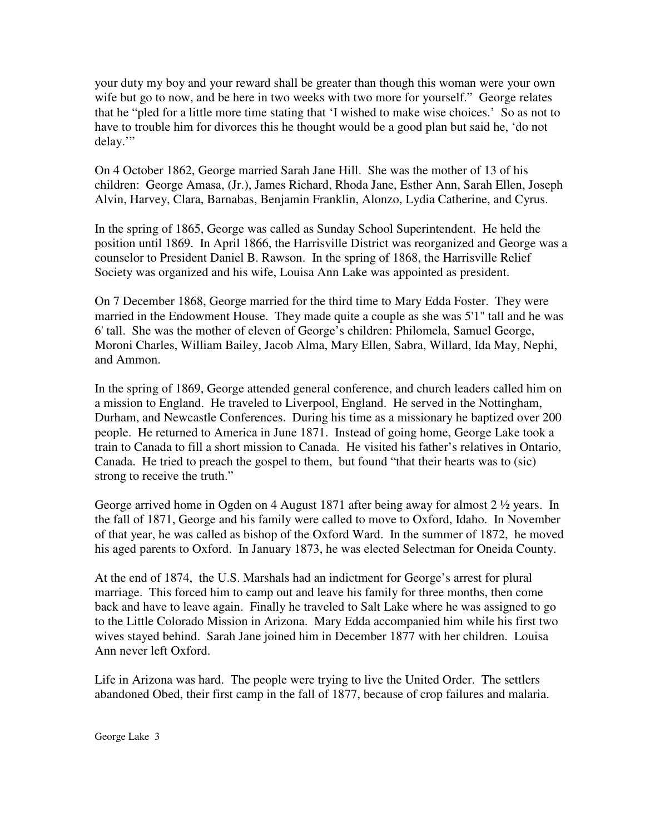your duty my boy and your reward shall be greater than though this woman were your own wife but go to now, and be here in two weeks with two more for yourself." George relates that he "pled for a little more time stating that 'I wished to make wise choices.' So as not to have to trouble him for divorces this he thought would be a good plan but said he, 'do not delay.'"

On 4 October 1862, George married Sarah Jane Hill. She was the mother of 13 of his children: George Amasa, (Jr.), James Richard, Rhoda Jane, Esther Ann, Sarah Ellen, Joseph Alvin, Harvey, Clara, Barnabas, Benjamin Franklin, Alonzo, Lydia Catherine, and Cyrus.

In the spring of 1865, George was called as Sunday School Superintendent. He held the position until 1869. In April 1866, the Harrisville District was reorganized and George was a counselor to President Daniel B. Rawson. In the spring of 1868, the Harrisville Relief Society was organized and his wife, Louisa Ann Lake was appointed as president.

On 7 December 1868, George married for the third time to Mary Edda Foster. They were married in the Endowment House. They made quite a couple as she was 5'1" tall and he was 6' tall. She was the mother of eleven of George's children: Philomela, Samuel George, Moroni Charles, William Bailey, Jacob Alma, Mary Ellen, Sabra, Willard, Ida May, Nephi, and Ammon.

In the spring of 1869, George attended general conference, and church leaders called him on a mission to England. He traveled to Liverpool, England. He served in the Nottingham, Durham, and Newcastle Conferences. During his time as a missionary he baptized over 200 people. He returned to America in June 1871.Instead of going home, George Lake took a train to Canada to fill a short mission to Canada. He visited his father's relatives in Ontario, Canada. He tried to preach the gospel to them, but found "that their hearts was to (sic) strong to receive the truth."

George arrived home in Ogden on 4 August 1871 after being away for almost 2 ½ years. In the fall of 1871, George and his family were called to move to Oxford, Idaho. In November of that year, he was called as bishop of the Oxford Ward. In the summer of 1872, he moved his aged parents to Oxford. In January 1873, he was elected Selectman for Oneida County.

At the end of 1874, the U.S. Marshals had an indictment for George's arrest for plural marriage. This forced him to camp out and leave his family for three months, then come back and have to leave again. Finally he traveled to Salt Lake where he was assigned to go to the Little Colorado Mission in Arizona. Mary Edda accompanied him while his first two wives stayed behind. Sarah Jane joined him in December 1877 with her children. Louisa Ann never left Oxford.

Life in Arizona was hard. The people were trying to live the United Order. The settlers abandoned Obed, their first camp in the fall of 1877, because of crop failures and malaria.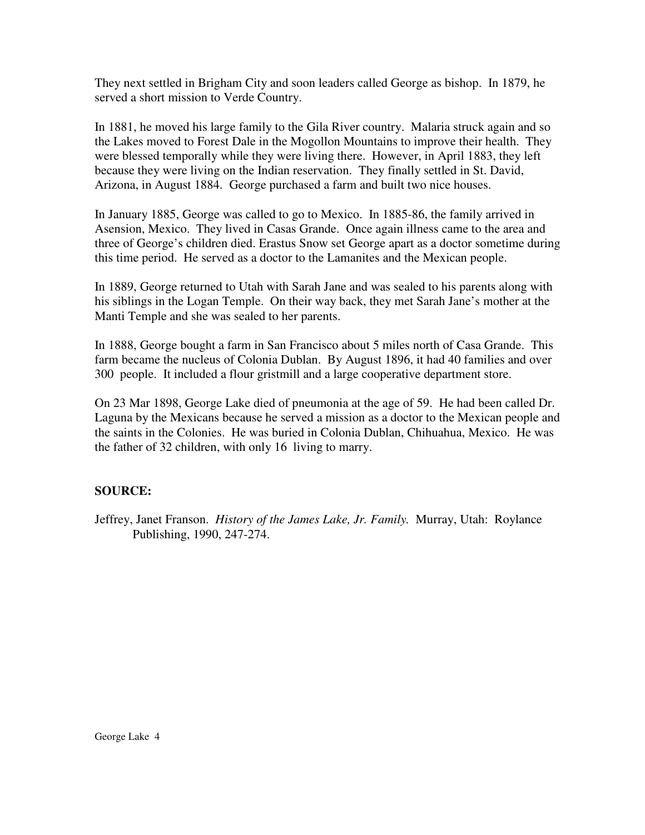They next settled in Brigham City and soon leaders called George as bishop. In 1879, he served a short mission to Verde Country.

In 1881, he moved his large family to the Gila River country. Malaria struck again and so the Lakes moved to Forest Dale in the Mogollon Mountains to improve their health. They were blessed temporally while they were living there. However, in April 1883, they left because they were living on the Indian reservation. They finally settled in St. David, Arizona, in August 1884. George purchased a farm and built two nice houses.

In January 1885, George was called to go to Mexico. In 1885-86, the family arrived in Asension, Mexico. They lived in Casas Grande. Once again illness came to the area and three of George's children died. Erastus Snow set George apart as a doctor sometime during this time period. He served as a doctor to the Lamanites and the Mexican people.

In 1889, George returned to Utah with Sarah Jane and was sealed to his parents along with his siblings in the Logan Temple. On their way back, they met Sarah Jane's mother at the Manti Temple and she was sealed to her parents.

In 1888, George bought a farm in San Francisco about 5 miles north of Casa Grande. This farm became the nucleus of Colonia Dublan. By August 1896, it had 40 families and over 300 people. It included a flour gristmill and a large cooperative department store.

On 23 Mar 1898, George Lake died of pneumonia at the age of 59. He had been called Dr. Laguna by the Mexicans because he served a mission as a doctor to the Mexican people and the saints in the Colonies. He was buried in Colonia Dublan, Chihuahua, Mexico. He was the father of 32 children, with only 16 living to marry.

## **SOURCE:**

Jeffrey, Janet Franson. *History of the James Lake, Jr. Family.* Murray, Utah: Roylance Publishing, 1990, 247-274.